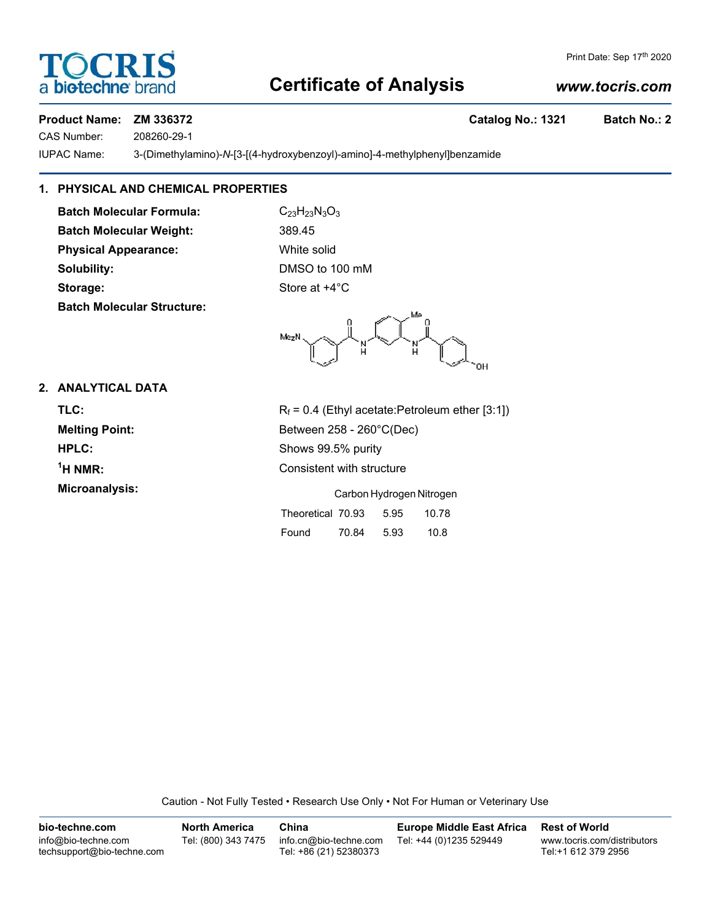# **Certificate of Analysis**

# *www.tocris.com*

# **Product Name: ZM 336372 Catalog No.: 1321 Batch No.: 2**

CAS Number: 208260-29-1

IUPAC Name: 3-(Dimethylamino)-*N*-[3-[(4-hydroxybenzoyl)-amino]-4-methylphenyl]benzamide

# **1. PHYSICAL AND CHEMICAL PROPERTIES**

**Batch Molecular Formula:** C<sub>23</sub>H<sub>23</sub>N<sub>3</sub>O<sub>3</sub> **Batch Molecular Weight:** 389.45 **Physical Appearance:** White solid **Solubility:** DMSO to 100 mM **Storage:** Store at  $+4^{\circ}$ C **Batch Molecular Structure:**

Mezh

### **2. ANALYTICAL DATA**

| <b>TLC:</b>           |
|-----------------------|
| <b>Melting Point:</b> |
| HPLC:                 |
| $1H NMR$ :            |
| Microanalysis:        |

 $R_f = 0.4$  (Ethyl acetate:Petroleum ether [3:1]) **Melting Point:** Between 258 - 260°C(Dec) Shows 99.5% purity **Consistent with structure Croanalysis:** Carbon Hydrogen Nitrogen Nitrogen

|                   | <u>Carbon i riyuruych milityych</u> |      |       |  |
|-------------------|-------------------------------------|------|-------|--|
| Theoretical 70.93 |                                     | 5.95 | 10.78 |  |
| Found             | 70.84                               | 5.93 | 10.8  |  |

Caution - Not Fully Tested • Research Use Only • Not For Human or Veterinary Use



Print Date: Sep 17th 2020